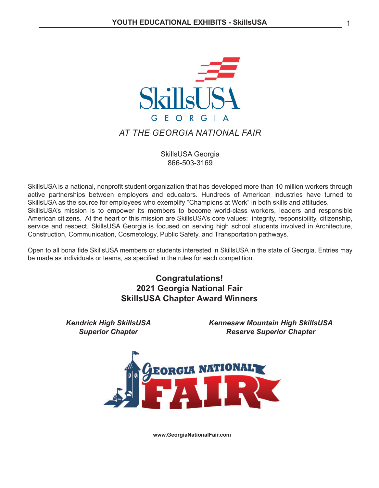

## *AT THE GEORGIA NATIONAL FAIR*

SkillsUSA Georgia 866-503-3169

SkillsUSA is a national, nonprofit student organization that has developed more than 10 million workers through active partnerships between employers and educators. Hundreds of American industries have turned to SkillsUSA as the source for employees who exemplify "Champions at Work" in both skills and attitudes. SkillsUSA's mission is to empower its members to become world-class workers, leaders and responsible American citizens. At the heart of this mission are SkillsUSA's core values: integrity, responsibility, citizenship, service and respect. SkillsUSA Georgia is focused on serving high school students involved in Architecture, Construction, Communication, Cosmetology, Public Safety, and Transportation pathways.

Open to all bona fide SkillsUSA members or students interested in SkillsUSA in the state of Georgia. Entries may be made as individuals or teams, as specified in the rules for each competition.

## **Congratulations! 2021 Georgia National Fair SkillsUSA Chapter Award Winners**

*Kendrick High SkillsUSA Superior Chapter*

*Kennesaw Mountain High SkillsUSA Reserve Superior Chapter*



**www.GeorgiaNationalFair.com**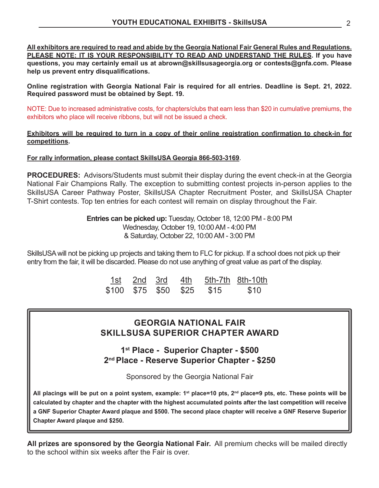**All exhibitors are required to read and abide by the Georgia National Fair General Rules and Regulations.**  PLEASE NOTE: IT IS YOUR RESPONSIBILITY TO READ AND UNDERSTAND THE RULES. If you have **questions, you may certainly email us at abrown@skillsusageorgia.org or contests@gnfa.com. Please help us prevent entry disqualifications.**

**Online registration with Georgia National Fair is required for all entries. Deadline is Sept. 21, 2022. Required password must be obtained by Sept. 19.**

NOTE: Due to increased administrative costs, for chapters/clubs that earn less than \$20 in cumulative premiums, the exhibitors who place will receive ribbons, but will not be issued a check.

**Exhibitors will be required to turn in a copy of their online registration confirmation to check-in for competitions.**

#### **For rally information, please contact SkillsUSA Georgia 866-503-3169**.

**PROCEDURES:** Advisors/Students must submit their display during the event check-in at the Georgia National Fair Champions Rally. The exception to submitting contest projects in-person applies to the SkillsUSA Career Pathway Poster, SkillsUSA Chapter Recruitment Poster, and SkillsUSA Chapter T-Shirt contests. Top ten entries for each contest will remain on display throughout the Fair.

> **Entries can be picked up:** Tuesday, October 18, 12:00 PM - 8:00 PM Wednesday, October 19, 10:00 AM - 4:00 PM & Saturday, October 22, 10:00 AM - 3:00 PM

SkillsUSA will not be picking up projects and taking them to FLC for pickup. If a school does not pick up their entry from the fair, it will be discarded. Please do not use anything of great value as part of the display.

|  |  |                           | 1st 2nd 3rd 4th 5th-7th 8th-10th |
|--|--|---------------------------|----------------------------------|
|  |  | \$100 \$75 \$50 \$25 \$15 | \$10                             |

## **GEORGIA NATIONAL FAIR SKILLSUSA SUPERIOR CHAPTER AWARD**

**1st Place - Superior Chapter - \$500 2nd Place - Reserve Superior Chapter - \$250**

Sponsored by the Georgia National Fair

All placings will be put on a point system, example: 1<sup>st</sup> place=10 pts, 2<sup>nd</sup> place=9 pts, etc. These points will be **calculated by chapter and the chapter with the highest accumulated points after the last competition will receive a GNF Superior Chapter Award plaque and \$500. The second place chapter will receive a GNF Reserve Superior Chapter Award plaque and \$250.**

**All prizes are sponsored by the Georgia National Fair.** All premium checks will be mailed directly to the school within six weeks after the Fair is over.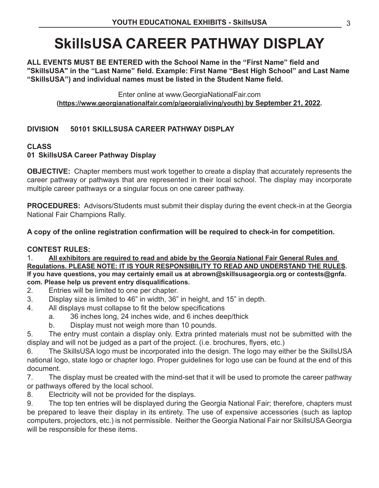## **SkillsUSA CAREER PATHWAY DISPLAY**

**ALL EVENTS MUST BE ENTERED with the School Name in the "First Name" field and "SkillsUSA" in the "Last Name" field. Example: First Name "Best High School" and Last Name "SkillsUSA") and individual names must be listed in the Student Name field.**

Enter online at www.GeorgiaNationalFair.com **(https://www.georgianationalfair.com/p/georgialiving/youth) by September 21, 2022.**

## **DIVISION 50101 SKILLSUSA CAREER PATHWAY DISPLAY**

## **CLASS**

## **01 SkillsUSA Career Pathway Display**

**OBJECTIVE:** Chapter members must work together to create a display that accurately represents the career pathway or pathways that are represented in their local school. The display may incorporate multiple career pathways or a singular focus on one career pathway.

**PROCEDURES:** Advisors/Students must submit their display during the event check-in at the Georgia National Fair Champions Rally.

**A copy of the online registration confirmation will be required to check-in for competition.** 

## **CONTEST RULES:**

1. **All exhibitors are required to read and abide by the Georgia National Fair General Rules and Regulations. PLEASE NOTE: IT IS YOUR RESPONSIBILITY TO READ AND UNDERSTAND THE RULES. If you have questions, you may certainly email us at abrown@skillsusageorgia.org or contests@gnfa. com. Please help us prevent entry disqualifications.**

- 2. Entries will be limited to one per chapter.
- 3. Display size is limited to 46" in width, 36" in height, and 15" in depth.
- 4. All displays must collapse to fit the below specifications
	- a. 36 inches long, 24 inches wide, and 6 inches deep/thick
	- b. Display must not weigh more than 10 pounds.

5. The entry must contain a display only. Extra printed materials must not be submitted with the display and will not be judged as a part of the project. (i.e. brochures, flyers, etc.)

6. The SkillsUSA logo must be incorporated into the design. The logo may either be the SkillsUSA national logo, state logo or chapter logo. Proper guidelines for logo use can be found at the end of this document.

7. The display must be created with the mind-set that it will be used to promote the career pathway or pathways offered by the local school.

8. Electricity will not be provided for the displays.

9. The top ten entries will be displayed during the Georgia National Fair; therefore, chapters must be prepared to leave their display in its entirety. The use of expensive accessories (such as laptop computers, projectors, etc.) is not permissible. Neither the Georgia National Fair nor SkillsUSA Georgia will be responsible for these items.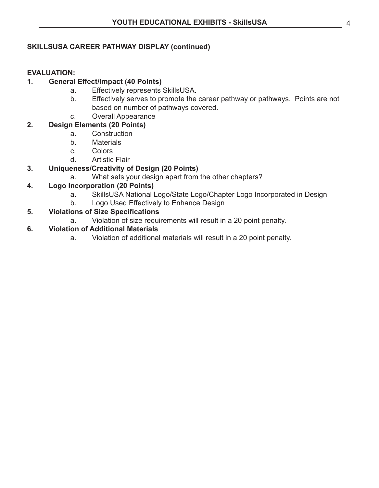#### **SKILLSUSA CAREER PATHWAY DISPLAY (continued)**

#### **EVALUATION:**

#### **1. General Effect/Impact (40 Points)**

- a. Effectively represents SkillsUSA.
- b. Effectively serves to promote the career pathway or pathways. Points are not based on number of pathways covered.
- c. Overall Appearance

## **2. Design Elements (20 Points)**

- a. Construction
- b. Materials
- c. Colors
- d. Artistic Flair

#### **3. Uniqueness/Creativity of Design (20 Points)**

a. What sets your design apart from the other chapters?

## **4. Logo Incorporation (20 Points)**

- a. SkillsUSA National Logo/State Logo/Chapter Logo Incorporated in Design
- b. Logo Used Effectively to Enhance Design

## **5. Violations of Size Specifications**

a. Violation of size requirements will result in a 20 point penalty.

#### **6. Violation of Additional Materials**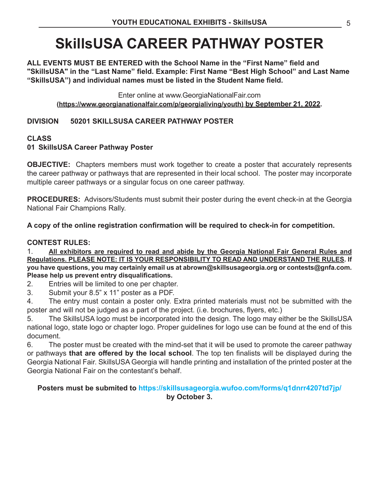## **SkillsUSA CAREER PATHWAY POSTER**

**ALL EVENTS MUST BE ENTERED with the School Name in the "First Name" field and "SkillsUSA" in the "Last Name" field. Example: First Name "Best High School" and Last Name "SkillsUSA") and individual names must be listed in the Student Name field.**

Enter online at www.GeorgiaNationalFair.com **(https://www.georgianationalfair.com/p/georgialiving/youth) by September 21, 2022.**

## **DIVISION 50201 SKILLSUSA CAREER PATHWAY POSTER**

## **CLASS**

## **01 SkillsUSA Career Pathway Poster**

**OBJECTIVE:** Chapters members must work together to create a poster that accurately represents the career pathway or pathways that are represented in their local school. The poster may incorporate multiple career pathways or a singular focus on one career pathway.

**PROCEDURES:** Advisors/Students must submit their poster during the event check-in at the Georgia National Fair Champions Rally.

**A copy of the online registration confirmation will be required to check-in for competition.** 

#### **CONTEST RULES:**

1. **All exhibitors are required to read and abide by the Georgia National Fair General Rules and Regulations. PLEASE NOTE: IT IS YOUR RESPONSIBILITY TO READ AND UNDERSTAND THE RULES. If you have questions, you may certainly email us at abrown@skillsusageorgia.org or contests@gnfa.com. Please help us prevent entry disqualifications.**

2. Entries will be limited to one per chapter.

3. Submit your 8.5" x 11" poster as a PDF.

4. The entry must contain a poster only. Extra printed materials must not be submitted with the poster and will not be judged as a part of the project. (i.e. brochures, flyers, etc.)

5. The SkillsUSA logo must be incorporated into the design. The logo may either be the SkillsUSA national logo, state logo or chapter logo. Proper guidelines for logo use can be found at the end of this document.

6. The poster must be created with the mind-set that it will be used to promote the career pathway or pathways **that are offered by the local school**. The top ten finalists will be displayed during the Georgia National Fair. SkillsUSA Georgia will handle printing and installation of the printed poster at the Georgia National Fair on the contestant's behalf.

## **Posters must be submited to https://skillsusageorgia.wufoo.com/forms/q1dnrr4207td7jp/ by October 3.**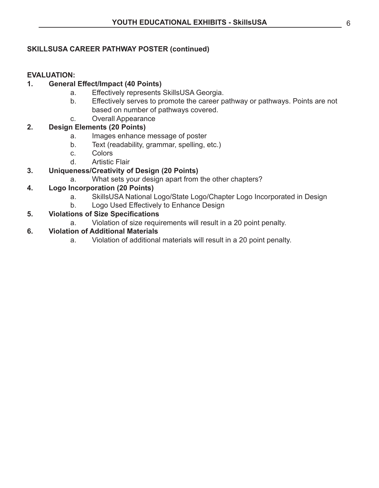#### **SKILLSUSA CAREER PATHWAY POSTER (continued)**

#### **EVALUATION:**

#### **1. General Effect/Impact (40 Points)**

- a. Effectively represents SkillsUSA Georgia.
- b. Effectively serves to promote the career pathway or pathways. Points are not based on number of pathways covered.
- c. Overall Appearance

## **2. Design Elements (20 Points)**

- a. Images enhance message of poster
- b. Text (readability, grammar, spelling, etc.)
- c. Colors
- d. Artistic Flair

#### **3. Uniqueness/Creativity of Design (20 Points)**

a. What sets your design apart from the other chapters?

#### **4. Logo Incorporation (20 Points)**

- a. SkillsUSA National Logo/State Logo/Chapter Logo Incorporated in Design
- b. Logo Used Effectively to Enhance Design

#### **5. Violations of Size Specifications**

a. Violation of size requirements will result in a 20 point penalty.

#### **6. Violation of Additional Materials**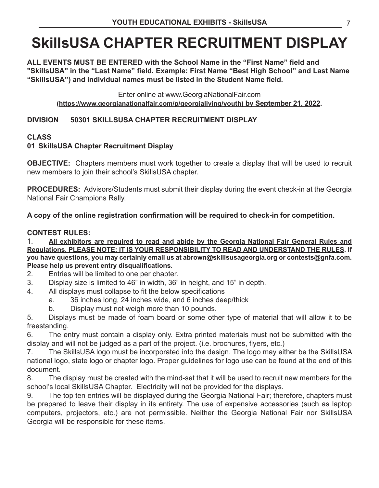## **SkillsUSA CHAPTER RECRUITMENT DISPLAY**

**ALL EVENTS MUST BE ENTERED with the School Name in the "First Name" field and "SkillsUSA" in the "Last Name" field. Example: First Name "Best High School" and Last Name "SkillsUSA") and individual names must be listed in the Student Name field.**

Enter online at www.GeorgiaNationalFair.com **(https://www.georgianationalfair.com/p/georgialiving/youth) by September 21, 2022.**

## **DIVISION 50301 SKILLSUSA CHAPTER RECRUITMENT DISPLAY**

## **CLASS**

## **01 SkillsUSA Chapter Recruitment Display**

**OBJECTIVE:** Chapters members must work together to create a display that will be used to recruit new members to join their school's SkillsUSA chapter.

**PROCEDURES:** Advisors/Students must submit their display during the event check-in at the Georgia National Fair Champions Rally.

**A copy of the online registration confirmation will be required to check-in for competition.** 

## **CONTEST RULES:**

1. **All exhibitors are required to read and abide by the Georgia National Fair General Rules and Regulations. PLEASE NOTE: IT IS YOUR RESPONSIBILITY TO READ AND UNDERSTAND THE RULES. If you have questions, you may certainly email us at abrown@skillsusageorgia.org or contests@gnfa.com. Please help us prevent entry disqualifications.**

- 2. Entries will be limited to one per chapter.
- 3. Display size is limited to 46" in width, 36" in height, and 15" in depth.
- 4. All displays must collapse to fit the below specifications
	- a. 36 inches long, 24 inches wide, and 6 inches deep/thick
	- b. Display must not weigh more than 10 pounds.

5. Displays must be made of foam board or some other type of material that will allow it to be freestanding.

6. The entry must contain a display only. Extra printed materials must not be submitted with the display and will not be judged as a part of the project. (i.e. brochures, flyers, etc.)

7. The SkillsUSA logo must be incorporated into the design. The logo may either be the SkillsUSA national logo, state logo or chapter logo. Proper guidelines for logo use can be found at the end of this document.

8. The display must be created with the mind-set that it will be used to recruit new members for the school's local SkillsUSA Chapter. Electricity will not be provided for the displays.

9. The top ten entries will be displayed during the Georgia National Fair; therefore, chapters must be prepared to leave their display in its entirety. The use of expensive accessories (such as laptop computers, projectors, etc.) are not permissible. Neither the Georgia National Fair nor SkillsUSA Georgia will be responsible for these items.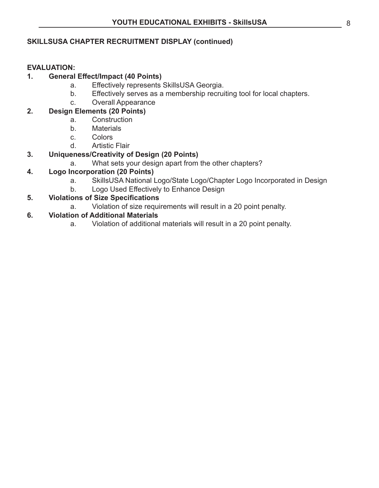## **SKILLSUSA CHAPTER RECRUITMENT DISPLAY (continued)**

#### **EVALUATION:**

#### **1. General Effect/Impact (40 Points)**

- a. Effectively represents SkillsUSA Georgia.
- b. Effectively serves as a membership recruiting tool for local chapters.
- c. Overall Appearance

## **2. Design Elements (20 Points)**

- a. Construction
- b. Materials
- c. Colors
- d. Artistic Flair

## **3. Uniqueness/Creativity of Design (20 Points)**

a. What sets your design apart from the other chapters?

## **4. Logo Incorporation (20 Points)**

- a. SkillsUSA National Logo/State Logo/Chapter Logo Incorporated in Design
- b. Logo Used Effectively to Enhance Design

## **5. Violations of Size Specifications**

a. Violation of size requirements will result in a 20 point penalty.

## **6. Violation of Additional Materials**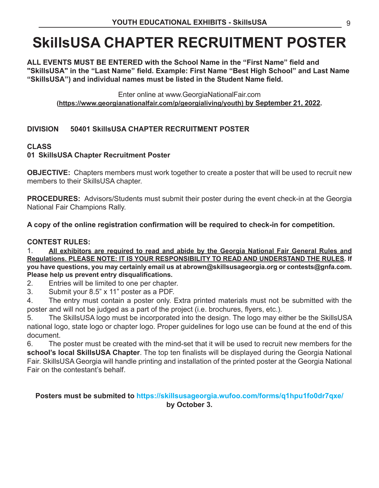## **SkillsUSA CHAPTER RECRUITMENT POSTER**

**ALL EVENTS MUST BE ENTERED with the School Name in the "First Name" field and "SkillsUSA" in the "Last Name" field. Example: First Name "Best High School" and Last Name "SkillsUSA") and individual names must be listed in the Student Name field.**

Enter online at www.GeorgiaNationalFair.com **(https://www.georgianationalfair.com/p/georgialiving/youth) by September 21, 2022.**

## **DIVISION 50401 SkillsUSA CHAPTER RECRUITMENT POSTER**

## **CLASS**

## **01 SkillsUSA Chapter Recruitment Poster**

**OBJECTIVE:** Chapters members must work together to create a poster that will be used to recruit new members to their SkillsUSA chapter.

**PROCEDURES:** Advisors/Students must submit their poster during the event check-in at the Georgia National Fair Champions Rally.

**A copy of the online registration confirmation will be required to check-in for competition.** 

## **CONTEST RULES:**

1. **All exhibitors are required to read and abide by the Georgia National Fair General Rules and Regulations. PLEASE NOTE: IT IS YOUR RESPONSIBILITY TO READ AND UNDERSTAND THE RULES. If you have questions, you may certainly email us at abrown@skillsusageorgia.org or contests@gnfa.com. Please help us prevent entry disqualifications.**

2. Entries will be limited to one per chapter.

3. Submit your 8.5" x 11" poster as a PDF.

4. The entry must contain a poster only. Extra printed materials must not be submitted with the poster and will not be judged as a part of the project (i.e. brochures, flyers, etc.).

5. The SkillsUSA logo must be incorporated into the design. The logo may either be the SkillsUSA national logo, state logo or chapter logo. Proper guidelines for logo use can be found at the end of this document.

6. The poster must be created with the mind-set that it will be used to recruit new members for the **school's local SkillsUSA Chapter**. The top ten finalists will be displayed during the Georgia National Fair. SkillsUSA Georgia will handle printing and installation of the printed poster at the Georgia National Fair on the contestant's behalf.

## **Posters must be submited to https://skillsusageorgia.wufoo.com/forms/q1hpu1fo0dr7qxe/ by October 3.**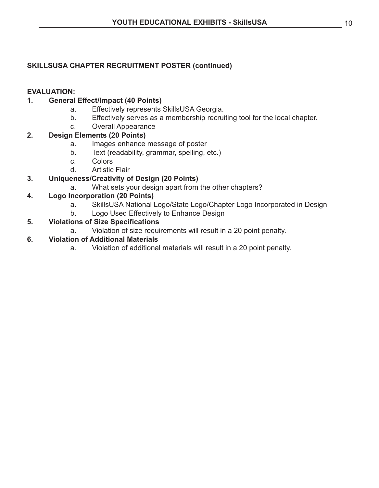## **SKILLSUSA CHAPTER RECRUITMENT POSTER (continued)**

#### **EVALUATION:**

#### **1. General Effect/Impact (40 Points)**

- a. Effectively represents SkillsUSA Georgia.
- b. Effectively serves as a membership recruiting tool for the local chapter.
- c. Overall Appearance

#### **2. Design Elements (20 Points)**

- a. Images enhance message of poster
- b. Text (readability, grammar, spelling, etc.)
- c. Colors
- d. Artistic Flair

## **3. Uniqueness/Creativity of Design (20 Points)**

a. What sets your design apart from the other chapters?

## **4. Logo Incorporation (20 Points)**

- a. SkillsUSA National Logo/State Logo/Chapter Logo Incorporated in Design
- b. Logo Used Effectively to Enhance Design

## **5. Violations of Size Specifications**

a. Violation of size requirements will result in a 20 point penalty.

#### **6. Violation of Additional Materials**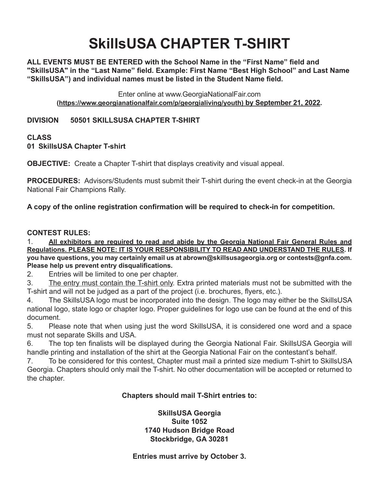## **SkillsUSA CHAPTER T-SHIRT**

**ALL EVENTS MUST BE ENTERED with the School Name in the "First Name" field and "SkillsUSA" in the "Last Name" field. Example: First Name "Best High School" and Last Name "SkillsUSA") and individual names must be listed in the Student Name field.**

Enter online at www.GeorgiaNationalFair.com **(https://www.georgianationalfair.com/p/georgialiving/youth) by September 21, 2022.**

**DIVISION 50501 SKILLSUSA CHAPTER T-SHIRT**

#### **CLASS 01 SkillsUSA Chapter T-shirt**

**OBJECTIVE:** Create a Chapter T-shirt that displays creativity and visual appeal.

**PROCEDURES:** Advisors/Students must submit their T-shirt during the event check-in at the Georgia National Fair Champions Rally.

**A copy of the online registration confirmation will be required to check-in for competition.** 

## **CONTEST RULES:**

1. **All exhibitors are required to read and abide by the Georgia National Fair General Rules and Regulations. PLEASE NOTE: IT IS YOUR RESPONSIBILITY TO READ AND UNDERSTAND THE RULES. If you have questions, you may certainly email us at abrown@skillsusageorgia.org or contests@gnfa.com. Please help us prevent entry disqualifications.**

2. Entries will be limited to one per chapter.

3. The entry must contain the T-shirt only. Extra printed materials must not be submitted with the T-shirt and will not be judged as a part of the project (i.e. brochures, flyers, etc.).

4. The SkillsUSA logo must be incorporated into the design. The logo may either be the SkillsUSA national logo, state logo or chapter logo. Proper guidelines for logo use can be found at the end of this document.

5. Please note that when using just the word SkillsUSA, it is considered one word and a space must not separate Skills and USA.

6. The top ten finalists will be displayed during the Georgia National Fair. SkillsUSA Georgia will handle printing and installation of the shirt at the Georgia National Fair on the contestant's behalf.

7. To be considered for this contest, Chapter must mail a printed size medium T-shirt to SkillsUSA Georgia. Chapters should only mail the T-shirt. No other documentation will be accepted or returned to the chapter.

## **Chapters should mail T-Shirt entries to:**

**SkillsUSA Georgia Suite 1052 1740 Hudson Bridge Road Stockbridge, GA 30281**

## **Entries must arrive by October 3.**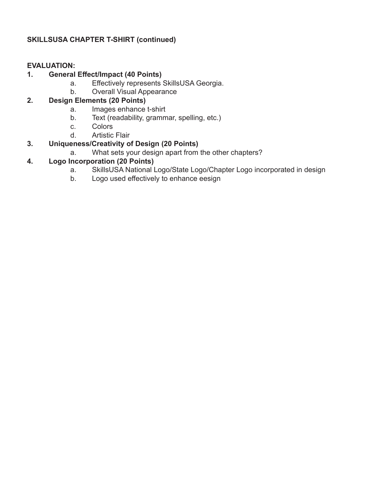## **SKILLSUSA CHAPTER T-SHIRT (continued)**

#### **EVALUATION:**

## **1. General Effect/Impact (40 Points)**

- a. Effectively represents SkillsUSA Georgia.
- b. Overall Visual Appearance

## **2. Design Elements (20 Points)**

- a. Images enhance t-shirt
- b. Text (readability, grammar, spelling, etc.)
- c. Colors
- d. Artistic Flair

## **3. Uniqueness/Creativity of Design (20 Points)**

a. What sets your design apart from the other chapters?

## **4. Logo Incorporation (20 Points)**

- a. SkillsUSA National Logo/State Logo/Chapter Logo incorporated in design
- b. Logo used effectively to enhance eesign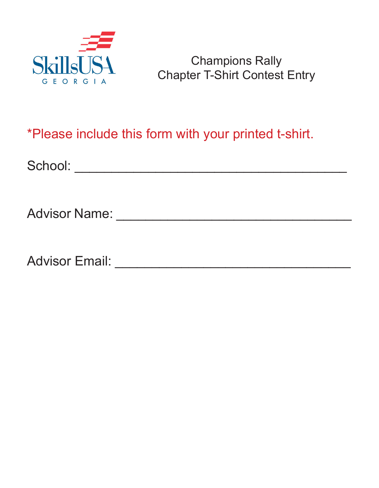

## Champions Rally Chapter T-Shirt Contest Entry

## \*Please include this form with your printed t-shirt.

School: \_\_\_\_\_\_\_\_\_\_\_\_\_\_\_\_\_\_\_\_\_\_\_\_\_\_\_\_\_\_\_\_\_\_\_\_\_

Advisor Name: \_\_\_\_\_\_\_\_\_\_\_\_\_\_\_\_\_\_\_\_\_\_\_\_\_\_\_\_\_\_\_\_

Advisor Email: \_\_\_\_\_\_\_\_\_\_\_\_\_\_\_\_\_\_\_\_\_\_\_\_\_\_\_\_\_\_\_\_